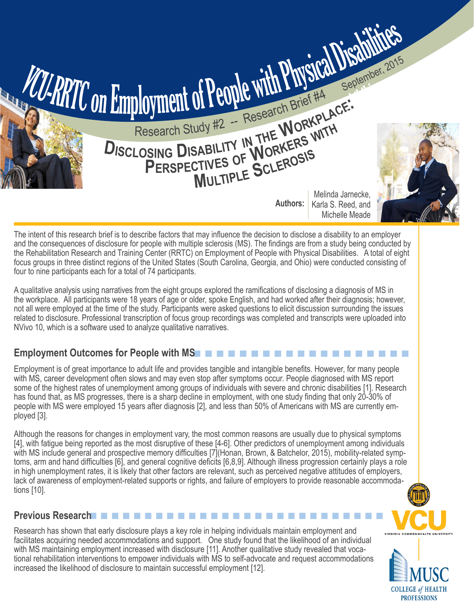

The intent of this research brief is to describe factors that may influence the decision to disclose a disability to an employer and the consequences of disclosure for people with multiple sclerosis (MS). The findings are from a study being conducted by the Rehabilitation Research and Training Center (RRTC) on Employment of People with Physical Disabilities. A total of eight focus groups in three distinct regions of the United States (South Carolina, Georgia, and Ohio) were conducted consisting of four to nine participants each for a total of 74 participants.

A qualitative analysis using narratives from the eight groups explored the ramifications of disclosing a diagnosis of MS in the workplace. All participants were 18 years of age or older, spoke English, and had worked after their diagnosis; however, not all were employed at the time of the study. Participants were asked questions to elicit discussion surrounding the issues related to disclosure. Professional transcription of focus group recordings was completed and transcripts were uploaded into NVivo 10, which is a software used to analyze qualitative narratives.

# **Employment Outcomes for People with MS**n n n n n n n n n n n n n n n n n n n

Employment is of great importance to adult life and provides tangible and intangible benefits. However, for many people with MS, career development often slows and may even stop after symptoms occur. People diagnosed with MS report some of the highest rates of unemployment among groups of individuals with severe and chronic disabilities [1]. Research has found that, as MS progresses, there is a sharp decline in employment, with one study finding that only 20-30% of people with MS were employed 15 years after diagnosis [2], and less than 50% of Americans with MS are currently employed [3].

Although the reasons for changes in employment vary, the most common reasons are usually due to physical symptoms [4], with fatigue being reported as the most disruptive of these [4-6]. Other predictors of unemployment among individuals with MS include general and prospective memory difficulties [7] (Honan, Brown, & Batchelor, 2015), mobility-related symptoms, arm and hand difficulties [6], and general cognitive deficits [6,8,9]. Although illness progression certainly plays a role in high unemployment rates, it is likely that other factors are relevant, such as perceived negative attitudes of employers, lack of awareness of employment-related supports or rights, and failure of employers to provide reasonable accommodations [10].

### **Previous Research**n n n n n n n n n n n n n n n n n n n n n n n n n n n

Research has shown that early disclosure plays a key role in helping individuals maintain employment and facilitates acquiring needed accommodations and support. One study found that the likelihood of an individual with MS maintaining employment increased with disclosure [11]. Another qualitative study revealed that vocational rehabilitation interventions to empower individuals with MS to self-advocate and request accommodations increased the likelihood of disclosure to maintain successful employment [12].

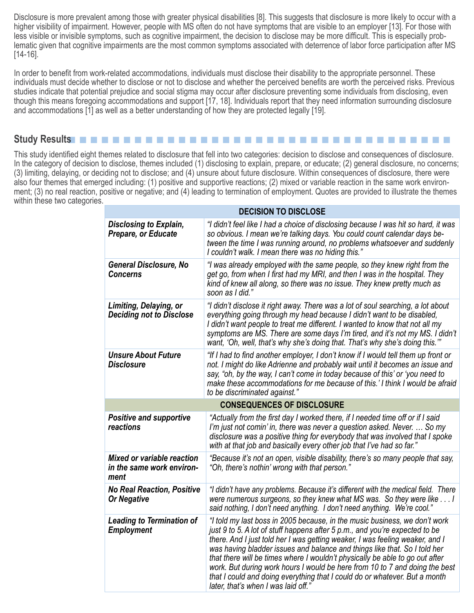Disclosure is more prevalent among those with greater physical disabilities [8]. This suggests that disclosure is more likely to occur with a higher visibility of impairment. However, people with MS often do not have symptoms that are visible to an employer [13]. For those with less visible or invisible symptoms, such as cognitive impairment, the decision to disclose may be more difficult. This is especially problematic given that cognitive impairments are the most common symptoms associated with deterrence of labor force participation after MS [14-16].

In order to benefit from work-related accommodations, individuals must disclose their disability to the appropriate personnel. These individuals must decide whether to disclose or not to disclose and whether the perceived benefits are worth the perceived risks. Previous studies indicate that potential prejudice and social stigma may occur after disclosure preventing some individuals from disclosing, even though this means foregoing accommodations and support [17, 18]. Individuals report that they need information surrounding disclosure and accommodations [1] as well as a better understanding of how they are protected legally [19].

### **Study Results**n n n n n n n n n n n n n n n n n n n n n n n n n n n n n n n n n n n

This study identified eight themes related to disclosure that fell into two categories: decision to disclose and consequences of disclosure. In the category of decision to disclose, themes included (1) disclosing to explain, prepare, or educate; (2) general disclosure, no concerns; (3) limiting, delaying, or deciding not to disclose; and (4) unsure about future disclosure. Within consequences of disclosure, there were also four themes that emerged including: (1) positive and supportive reactions; (2) mixed or variable reaction in the same work environment; (3) no real reaction, positive or negative; and (4) leading to termination of employment. Quotes are provided to illustrate the themes within these two categories.

| <b>DECISION TO DISCLOSE</b>                                            |                                                                                                                                                                                                                                                                                                                                                                                                                                                                                                                                                                                                            |
|------------------------------------------------------------------------|------------------------------------------------------------------------------------------------------------------------------------------------------------------------------------------------------------------------------------------------------------------------------------------------------------------------------------------------------------------------------------------------------------------------------------------------------------------------------------------------------------------------------------------------------------------------------------------------------------|
| <b>Disclosing to Explain,</b><br>Prepare, or Educate                   | "I didn't feel like I had a choice of disclosing because I was hit so hard, it was<br>so obvious. I mean we're talking days. You could count calendar days be-<br>tween the time I was running around, no problems whatsoever and suddenly<br>I couldn't walk. I mean there was no hiding this."                                                                                                                                                                                                                                                                                                           |
| <b>General Disclosure, No</b><br><b>Concerns</b>                       | "I was already employed with the same people, so they knew right from the<br>get go, from when I first had my MRI, and then I was in the hospital. They<br>kind of knew all along, so there was no issue. They knew pretty much as<br>soon as I did."                                                                                                                                                                                                                                                                                                                                                      |
| Limiting, Delaying, or<br><b>Deciding not to Disclose</b>              | "I didn't disclose it right away. There was a lot of soul searching, a lot about<br>everything going through my head because I didn't want to be disabled,<br>I didn't want people to treat me different. I wanted to know that not all my<br>symptoms are MS. There are some days I'm tired, and it's not my MS. I didn't<br>want, 'Oh, well, that's why she's doing that. That's why she's doing this."                                                                                                                                                                                                  |
| <b>Unsure About Future</b><br><b>Disclosure</b>                        | "If I had to find another employer, I don't know if I would tell them up front or<br>not. I might do like Adrienne and probably wait until it becomes an issue and<br>say, "oh, by the way, I can't come in today because of this' or 'you need to<br>make these accommodations for me because of this.' I think I would be afraid<br>to be discriminated against."                                                                                                                                                                                                                                        |
| <b>CONSEQUENCES OF DISCLOSURE</b>                                      |                                                                                                                                                                                                                                                                                                                                                                                                                                                                                                                                                                                                            |
| <b>Positive and supportive</b><br>reactions                            | "Actually from the first day I worked there, if I needed time off or if I said<br>I'm just not comin' in, there was never a question asked. Never.  So my<br>disclosure was a positive thing for everybody that was involved that I spoke<br>with at that job and basically every other job that I've had so far."                                                                                                                                                                                                                                                                                         |
| <b>Mixed or variable reaction</b><br>in the same work environ-<br>ment | "Because it's not an open, visible disability, there's so many people that say,<br>"Oh, there's nothin' wrong with that person."                                                                                                                                                                                                                                                                                                                                                                                                                                                                           |
| <b>No Real Reaction, Positive</b><br><b>Or Negative</b>                | "I didn't have any problems. Because it's different with the medical field. There<br>were numerous surgeons, so they knew what MS was. So they were like I<br>said nothing, I don't need anything. I don't need anything. We're cool."                                                                                                                                                                                                                                                                                                                                                                     |
| <b>Leading to Termination of</b><br><b>Employment</b>                  | "I told my last boss in 2005 because, in the music business, we don't work<br>just 9 to 5. A lot of stuff happens after 5 p.m., and you're expected to be<br>there. And I just told her I was getting weaker, I was feeling weaker, and I<br>was having bladder issues and balance and things like that. So I told her<br>that there will be times where I wouldn't physically be able to go out after<br>work. But during work hours I would be here from 10 to 7 and doing the best<br>that I could and doing everything that I could do or whatever. But a month<br>later, that's when I was laid off.' |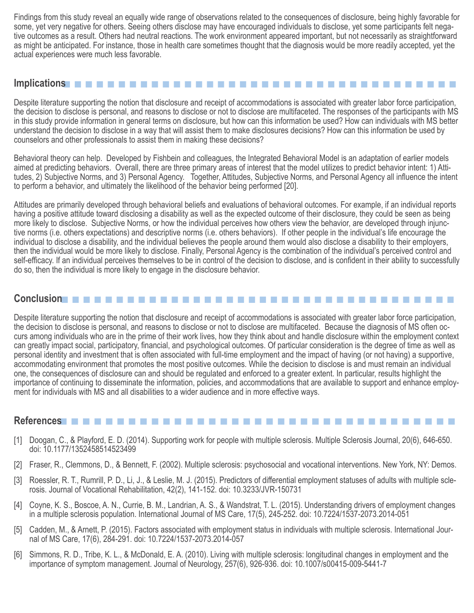Findings from this study reveal an equally wide range of observations related to the consequences of disclosure, being highly favorable for some, yet very negative for others. Seeing others disclose may have encouraged individuals to disclose, yet some participants felt negative outcomes as a result. Others had neutral reactions. The work environment appeared important, but not necessarily as straightforward as might be anticipated. For instance, those in health care sometimes thought that the diagnosis would be more readily accepted, yet the actual experiences were much less favorable.

### **Implications**n n n n n n n n n n n n n n n n n n n n n n n n n n n n n n n n n n n n

Despite literature supporting the notion that disclosure and receipt of accommodations is associated with greater labor force participation, the decision to disclose is personal, and reasons to disclose or not to disclose are multifaceted. The responses of the participants with MS in this study provide information in general terms on disclosure, but how can this information be used? How can individuals with MS better understand the decision to disclose in a way that will assist them to make disclosures decisions? How can this information be used by counselors and other professionals to assist them in making these decisions?

Behavioral theory can help. Developed by Fishbein and colleagues, the Integrated Behavioral Model is an adaptation of earlier models aimed at predicting behaviors. Overall, there are three primary areas of interest that the model utilizes to predict behavior intent: 1) Attitudes, 2) Subjective Norms, and 3) Personal Agency. Together, Attitudes, Subjective Norms, and Personal Agency all influence the intent to perform a behavior, and ultimately the likelihood of the behavior being performed [20].

Attitudes are primarily developed through behavioral beliefs and evaluations of behavioral outcomes. For example, if an individual reports having a positive attitude toward disclosing a disability as well as the expected outcome of their disclosure, they could be seen as being more likely to disclose. Subjective Norms, or how the individual perceives how others view the behavior, are developed through injunctive norms (i.e. others expectations) and descriptive norms (i.e. others behaviors). If other people in the individual's life encourage the individual to disclose a disability, and the individual believes the people around them would also disclose a disability to their employers, then the individual would be more likely to disclose. Finally, Personal Agency is the combination of the individual's perceived control and self-efficacy. If an individual perceives themselves to be in control of the decision to disclose, and is confident in their ability to successfully do so, then the individual is more likely to engage in the disclosure behavior.

## **Conclusionn n n n n n**

Despite literature supporting the notion that disclosure and receipt of accommodations is associated with greater labor force participation, the decision to disclose is personal, and reasons to disclose or not to disclose are multifaceted. Because the diagnosis of MS often occurs among individuals who are in the prime of their work lives, how they think about and handle disclosure within the employment context can greatly impact social, participatory, financial, and psychological outcomes. Of particular consideration is the degree of time as well as personal identity and investment that is often associated with full-time employment and the impact of having (or not having) a supportive, accommodating environment that promotes the most positive outcomes. While the decision to disclose is and must remain an individual one, the consequences of disclosure can and should be regulated and enforced to a greater extent. In particular, results highlight the importance of continuing to disseminate the information, policies, and accommodations that are available to support and enhance employment for individuals with MS and all disabilities to a wider audience and in more effective ways.

#### References**n n n n n n n n n n n n n n n n n n n**

- [1] Doogan, C., & Playford, E. D. (2014). Supporting work for people with multiple sclerosis. Multiple Sclerosis Journal, 20(6), 646-650. doi: 10.1177/1352458514523499
- [2] Fraser, R., Clemmons, D., & Bennett, F. (2002). Multiple sclerosis: psychosocial and vocational interventions. New York, NY: Demos.
- [3] Roessler, R. T., Rumrill, P. D., Li, J., & Leslie, M. J. (2015). Predictors of differential employment statuses of adults with multiple sclerosis. Journal of Vocational Rehabilitation, 42(2), 141-152. doi: 10.3233/JVR-150731
- [4] Coyne, K. S., Boscoe, A. N., Currie, B. M., Landrian, A. S., & Wandstrat, T. L. (2015). Understanding drivers of employment changes in a multiple sclerosis population. International Journal of MS Care, 17(5), 245-252. doi: 10.7224/1537-2073.2014-051
- [5] Cadden, M., & Arnett, P. (2015). Factors associated with employment status in individuals with multiple sclerosis. International Journal of MS Care, 17(6), 284-291. doi: 10.7224/1537-2073.2014-057
- [6] Simmons, R. D., Tribe, K. L., & McDonald, E. A. (2010). Living with multiple sclerosis: longitudinal changes in employment and the importance of symptom management. Journal of Neurology, 257(6), 926-936. doi: 10.1007/s00415-009-5441-7